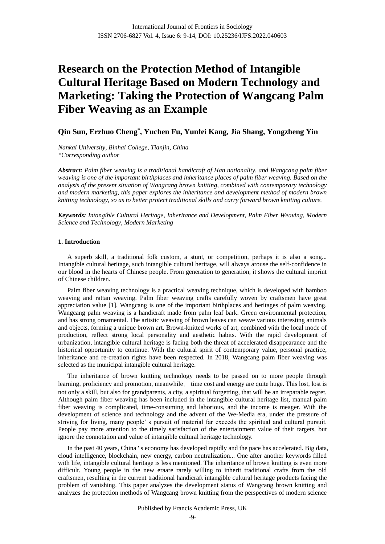# **Research on the Protection Method of Intangible Cultural Heritage Based on Modern Technology and Marketing: Taking the Protection of Wangcang Palm Fiber Weaving as an Example**

# **Qin Sun, Erzhuo Cheng\* , Yuchen Fu, Yunfei Kang, Jia Shang, Yongzheng Yin**

*Nankai University, Binhai College, Tianjin, China \*Corresponding author*

*Abstract: Palm fiber weaving is a traditional handicraft of Han nationality, and Wangcang palm fiber weaving is one of the important birthplaces and inheritance places of palm fiber weaving. Based on the analysis of the present situation of Wangcang brown knitting, combined with contemporary technology and modern marketing, this paper explores the inheritance and development method of modern brown knitting technology, so as to better protect traditional skills and carry forward brown knitting culture.* 

*Keywords: Intangible Cultural Heritage, Inheritance and Development, Palm Fiber Weaving, Modern Science and Technology, Modern Marketing*

# **1. Introduction**

A superb skill, a traditional folk custom, a stunt, or competition, perhaps it is also a song... Intangible cultural heritage, such intangible cultural heritage, will always arouse the self-confidence in our blood in the hearts of Chinese people. From generation to generation, it shows the cultural imprint of Chinese children.

Palm fiber weaving technology is a practical weaving technique, which is developed with bamboo weaving and rattan weaving. Palm fiber weaving crafts carefully woven by craftsmen have great appreciation value [1]. Wangcang is one of the important birthplaces and heritages of palm weaving. Wangcang palm weaving is a handicraft made from palm leaf bark. Green environmental protection, and has strong ornamental. The artistic weaving of brown leaves can weave various interesting animals and objects, forming a unique brown art. Brown-knitted works of art, combined with the local mode of production, reflect strong local personality and aesthetic habits. With the rapid development of urbanization, intangible cultural heritage is facing both the threat of accelerated disappearance and the historical opportunity to continue. With the cultural spirit of contemporary value, personal practice, inheritance and re-creation rights have been respected. In 2018, Wangcang palm fiber weaving was selected as the municipal intangible cultural heritage.

The inheritance of brown knitting technology needs to be passed on to more people through learning, proficiency and promotion, meanwhile, time cost and energy are quite huge. This lost, lost is not only a skill, but also for grandparents, a city, a spiritual forgetting, that will be an irreparable regret. Although palm fiber weaving has been included in the intangible cultural heritage list, manual palm fiber weaving is complicated, time-consuming and laborious, and the income is meager. With the development of science and technology and the advent of the We-Media era, under the pressure of striving for living, many people' s pursuit of material far exceeds the spiritual and cultural pursuit. People pay more attention to the timely satisfaction of the entertainment value of their targets, but ignore the connotation and value of intangible cultural heritage technology.

In the past 40 years, China ' s economy has developed rapidly and the pace has accelerated. Big data, cloud intelligence, blockchain, new energy, carbon neutralization... One after another keywords filled with life, intangible cultural heritage is less mentioned. The inheritance of brown knitting is even more difficult. Young people in the new eraare rarely willing to inherit traditional crafts from the old craftsmen, resulting in the current traditional handicraft intangible cultural heritage products facing the problem of vanishing. This paper analyzes the development status of Wangcang brown knitting and analyzes the protection methods of Wangcang brown knitting from the perspectives of modern science

Published by Francis Academic Press, UK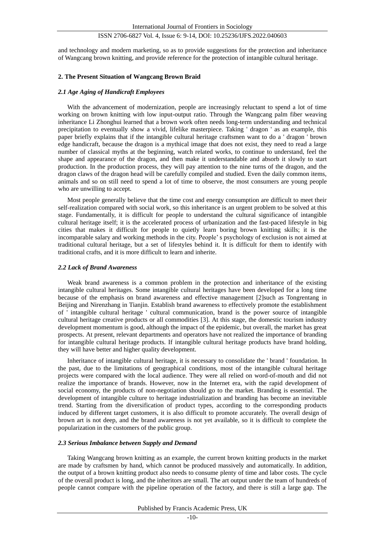and technology and modern marketing, so as to provide suggestions for the protection and inheritance of Wangcang brown knitting, and provide reference for the protection of intangible cultural heritage.

## **2. The Present Situation of Wangcang Brown Braid**

#### *2.1 Age Aging of Handicraft Employees*

With the advancement of modernization, people are increasingly reluctant to spend a lot of time working on brown knitting with low input-output ratio. Through the Wangcang palm fiber weaving inheritance Li Zhonghui learned that a brown work often needs long-term understanding and technical precipitation to eventually show a vivid, lifelike masterpiece. Taking ' dragon ' as an example, this paper briefly explains that if the intangible cultural heritage craftsmen want to do a ' dragon ' brown edge handicraft, because the dragon is a mythical image that does not exist, they need to read a large number of classical myths at the beginning, watch related works, to continue to understand, feel the shape and appearance of the dragon, and then make it understandable and absorb it slowly to start production. In the production process, they will pay attention to the nine turns of the dragon, and the dragon claws of the dragon head will be carefully compiled and studied. Even the daily common items, animals and so on still need to spend a lot of time to observe, the most consumers are young people who are unwilling to accept.

Most people generally believe that the time cost and energy consumption are difficult to meet their self-realization compared with social work, so this inheritance is an urgent problem to be solved at this stage. Fundamentally, it is difficult for people to understand the cultural significance of intangible cultural heritage itself; it is the accelerated process of urbanization and the fast-paced lifestyle in big cities that makes it difficult for people to quietly learn boring brown knitting skills; it is the incomparable salary and working methods in the city. People's psychology of exclusion is not aimed at traditional cultural heritage, but a set of lifestyles behind it. It is difficult for them to identify with traditional crafts, and it is more difficult to learn and inherite.

#### *2.2 Lack of Brand Awareness*

Weak brand awareness is a common problem in the protection and inheritance of the existing intangible cultural heritages. Some intangible cultural heritages have been developed for a long time because of the emphasis on brand awareness and effective management [2]such as Tongrentang in Beijing and Nirenzhang in Tianjin. Establish brand awareness to effectively promote the establishment of ' intangible cultural heritage ' cultural communication, brand is the power source of intangible cultural heritage creative products or all commodities [3]. At this stage, the domestic tourism industry development momentum is good, although the impact of the epidemic, but overall, the market has great prospects. At present, relevant departments and operators have not realized the importance of branding for intangible cultural heritage products. If intangible cultural heritage products have brand holding, they will have better and higher quality development.

Inheritance of intangible cultural heritage, it is necessary to consolidate the ' brand ' foundation. In the past, due to the limitations of geographical conditions, most of the intangible cultural heritage projects were compared with the local audience. They were all relied on word-of-mouth and did not realize the importance of brands. However, now in the Internet era, with the rapid development of social economy, the products of non-negotiation should go to the market. Branding is essential. The development of intangible culture to heritage industrialization and branding has become an inevitable trend. Starting from the diversification of product types, according to the corresponding products induced by different target customers, it is also difficult to promote accurately. The overall design of brown art is not deep, and the brand awareness is not yet available, so it is difficult to complete the popularization in the customers of the public group.

# *2.3 Serious Imbalance between Supply and Demand*

Taking Wangcang brown knitting as an example, the current brown knitting products in the market are made by craftsmen by hand, which cannot be produced massively and automatically. In addition, the output of a brown knitting product also needs to consume plenty of time and labor costs. The cycle of the overall product is long, and the inheritors are small. The art output under the team of hundreds of people cannot compare with the pipeline operation of the factory, and there is still a large gap. The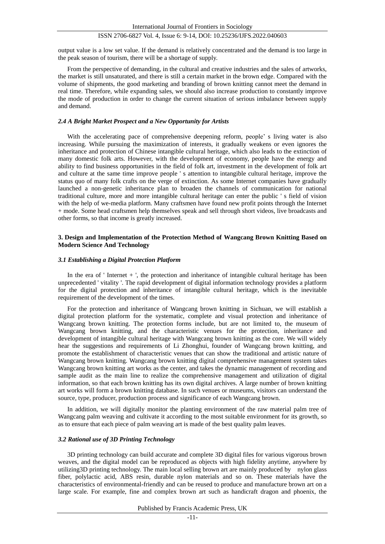output value is a low set value. If the demand is relatively concentrated and the demand is too large in the peak season of tourism, there will be a shortage of supply.

From the perspective of demanding, in the cultural and creative industries and the sales of artworks, the market is still unsaturated, and there is still a certain market in the brown edge. Compared with the volume of shipments, the good marketing and branding of brown knitting cannot meet the demand in real time. Therefore, while expanding sales, we should also increase production to constantly improve the mode of production in order to change the current situation of serious imbalance between supply and demand.

#### *2.4 A Bright Market Prospect and a New Opportunity for Artists*

With the accelerating pace of comprehensive deepening reform, people' s living water is also increasing. While pursuing the maximization of interests, it gradually weakens or even ignores the inheritance and protection of Chinese intangible cultural heritage, which also leads to the extinction of many domestic folk arts. However, with the development of economy, people have the energy and ability to find business opportunities in the field of folk art, investment in the development of folk art and culture at the same time improve people ' s attention to intangible cultural heritage, improve the status quo of many folk crafts on the verge of extinction. As some Internet companies have gradually launched a non-genetic inheritance plan to broaden the channels of communication for national traditional culture, more and more intangible cultural heritage can enter the public ' s field of vision with the help of we-media platform. Many craftsmen have found new profit points through the Internet + mode. Some head craftsmen help themselves speak and sell through short videos, live broadcasts and other forms, so that income is greatly increased.

# **3. Design and Implementation of the Protection Method of Wangcang Brown Knitting Based on Modern Science And Technology**

# *3.1 Establishing a Digital Protection Platform*

In the era of ' Internet + ', the protection and inheritance of intangible cultural heritage has been unprecedented ' vitality '. The rapid development of digital information technology provides a platform for the digital protection and inheritance of intangible cultural heritage, which is the inevitable requirement of the development of the times.

For the protection and inheritance of Wangcang brown knitting in Sichuan, we will establish a digital protection platform for the systematic, complete and visual protection and inheritance of Wangcang brown knitting. The protection forms include, but are not limited to, the museum of Wangcang brown knitting, and the characteristic venues for the protection, inheritance and development of intangible cultural heritage with Wangcang brown knitting as the core. We will widely hear the suggestions and requirements of Li Zhonghui, founder of Wangcang brown knitting, and promote the establishment of characteristic venues that can show the traditional and artistic nature of Wangcang brown knitting. Wangcang brown knitting digital comprehensive management system takes Wangcang brown knitting art works as the center, and takes the dynamic management of recording and sample audit as the main line to realize the comprehensive management and utilization of digital information, so that each brown knitting has its own digital archives. A large number of brown knitting art works will form a brown knitting database. In such venues or museums, visitors can understand the source, type, producer, production process and significance of each Wangcang brown.

In addition, we will digitally monitor the planting environment of the raw material palm tree of Wangcang palm weaving and cultivate it according to the most suitable environment for its growth, so as to ensure that each piece of palm weaving art is made of the best quality palm leaves.

#### *3.2 Rational use of 3D Printing Technology*

3D printing technology can build accurate and complete 3D digital files for various vigorous brown weaves, and the digital model can be reproduced as objects with high fidelity anytime, anywhere by utilizing3D printing technology. The main local selling brown art are mainly produced by nylon glass fiber, polylactic acid, ABS resin, durable nylon materials and so on. These materials have the characteristics of environmental-friendly and can be reused to produce and manufacture brown art on a large scale. For example, fine and complex brown art such as handicraft dragon and phoenix, the

Published by Francis Academic Press, UK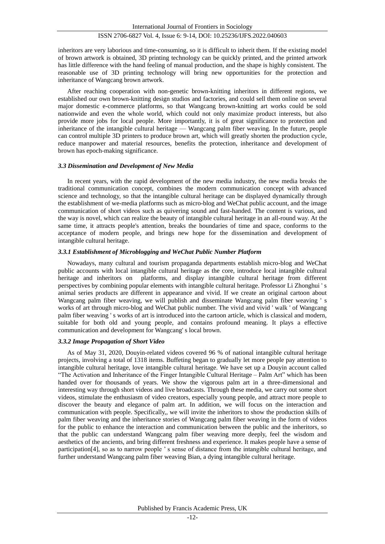inheritors are very laborious and time-consuming, so it is difficult to inherit them. If the existing model of brown artwork is obtained, 3D printing technology can be quickly printed, and the printed artwork has little difference with the hand feeling of manual production, and the shape is highly consistent. The reasonable use of 3D printing technology will bring new opportunities for the protection and inheritance of Wangcang brown artwork.

After reaching cooperation with non-genetic brown-knitting inheritors in different regions, we established our own brown-knitting design studios and factories, and could sell them online on several major domestic e-commerce platforms, so that Wangcang brown-knitting art works could be sold nationwide and even the whole world, which could not only maximize product interests, but also provide more jobs for local people. More importantly, it is of great significance to protection and inheritance of the intangible cultural heritage — Wangcang palm fiber weaving. In the future, people can control multiple 3D printers to produce brown art, which will greatly shorten the production cycle, reduce manpower and material resources, benefits the protection, inheritance and development of brown has epoch-making significance.

#### *3.3 Dissemination and Development of New Media*

In recent years, with the rapid development of the new media industry, the new media breaks the traditional communication concept, combines the modern communication concept with advanced science and technology, so that the intangible cultural heritage can be displayed dynamically through the establishment of we-media platforms such as micro-blog and WeChat public account, and the image communication of short videos such as quivering sound and fast-handed. The content is various, and the way is novel, which can realize the beauty of intangible cultural heritage in an all-round way. At the same time, it attracts people's attention, breaks the boundaries of time and space, conforms to the acceptance of modern people, and brings new hope for the dissemination and development of intangible cultural heritage.

# *3.3.1 Establishment of Microblogging and WeChat Public Number Platform*

Nowadays, many cultural and tourism propaganda departments establish micro-blog and WeChat public accounts with local intangible cultural heritage as the core, introduce local intangible cultural heritage and inheritors on platforms, and display intangible cultural heritage from different perspectives by combining popular elements with intangible cultural heritage. Professor Li Zhonghui ' s animal series products are different in appearance and vivid. If we create an original cartoon about Wangcang palm fiber weaving, we will publish and disseminate Wangcang palm fiber weaving ' s works of art through micro-blog and WeChat public number. The vivid and vivid ' walk ' of Wangcang palm fiber weaving ' s works of art is introduced into the cartoon article, which is classical and modern, suitable for both old and young people, and contains profound meaning. It plays a effective communication and development for Wangcang' s local brown.

#### *3.3.2 Image Propagation of Short Video*

As of May 31, 2020, Douyin-related videos covered 96 % of national intangible cultural heritage projects, involving a total of 1318 items. Buffeting began to gradually let more people pay attention to intangible cultural heritage, love intangible cultural heritage. We have set up a Douyin account called "The Activation and Inheritance of the Finger Intangible Cultural Heritage – Palm Art" which has been handed over for thousands of years. We show the vigorous palm art in a three-dimensional and interesting way through short videos and live broadcasts. Through these media, we carry out some short videos, stimulate the enthusiasm of video creators, especially young people, and attract more people to discover the beauty and elegance of palm art. In addition, we will focus on the interaction and communication with people. Specifically,, we will invite the inheritors to show the production skills of palm fiber weaving and the inheritance stories of Wangcang palm fiber weaving in the form of videos for the public to enhance the interaction and communication between the public and the inheritors, so that the public can understand Wangcang palm fiber weaving more deeply, feel the wisdom and aesthetics of the ancients, and bring different freshness and experience. It makes people have a sense of participation[4], so as to narrow people ' s sense of distance from the intangible cultural heritage, and further understand Wangcang palm fiber weaving Bian, a dying intangible cultural heritage.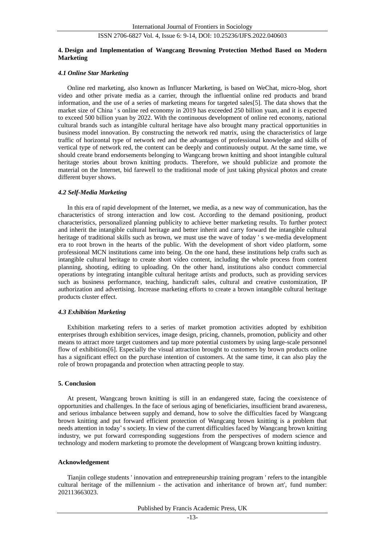# **4. Design and Implementation of Wangcang Browning Protection Method Based on Modern Marketing**

#### *4.1 Online Star Marketing*

Online red marketing, also known as Influncer Marketing, is based on WeChat, micro-blog, short video and other private media as a carrier, through the influential online red products and brand information, and the use of a series of marketing means for targeted sales[5]. The data shows that the market size of China ' s online red economy in 2019 has exceeded 250 billion yuan, and it is expected to exceed 500 billion yuan by 2022. With the continuous development of online red economy, national cultural brands such as intangible cultural heritage have also brought many practical opportunities in business model innovation. By constructing the network red matrix, using the characteristics of large traffic of horizontal type of network red and the advantages of professional knowledge and skills of vertical type of network red, the content can be deeply and continuously output. At the same time, we should create brand endorsements belonging to Wangcang brown knitting and shoot intangible cultural heritage stories about brown knitting products. Therefore, we should publicize and promote the material on the Internet, bid farewell to the traditional mode of just taking physical photos and create different buyer shows.

#### *4.2 Self-Media Marketing*

In this era of rapid development of the Internet, we media, as a new way of communication, has the characteristics of strong interaction and low cost. According to the demand positioning, product characteristics, personalized planning publicity to achieve better marketing results. To further protect and inherit the intangible cultural heritage and better inherit and carry forward the intangible cultural heritage of traditional skills such as brown, we must use the wave of today 's we-media development era to root brown in the hearts of the public. With the development of short video platform, some professional MCN institutions came into being. On the one hand, these institutions help crafts such as intangible cultural heritage to create short video content, including the whole process from content planning, shooting, editing to uploading. On the other hand, institutions also conduct commercial operations by integrating intangible cultural heritage artists and products, such as providing services such as business performance, teaching, handicraft sales, cultural and creative customization, IP authorization and advertising. Increase marketing efforts to create a brown intangible cultural heritage products cluster effect.

#### *4.3 Exhibition Marketing*

Exhibition marketing refers to a series of market promotion activities adopted by exhibition enterprises through exhibition services, image design, pricing, channels, promotion, publicity and other means to attract more target customers and tap more potential customers by using large-scale personnel flow of exhibitions[6]. Especially the visual attraction brought to customers by brown products online has a significant effect on the purchase intention of customers. At the same time, it can also play the role of brown propaganda and protection when attracting people to stay.

# **5. Conclusion**

At present, Wangcang brown knitting is still in an endangered state, facing the coexistence of opportunities and challenges. In the face of serious aging of beneficiaries, insufficient brand awareness, and serious imbalance between supply and demand, how to solve the difficulties faced by Wangcang brown knitting and put forward efficient protection of Wangcang brown knitting is a problem that needs attention in today's society. In view of the current difficulties faced by Wangcang brown knitting industry, we put forward corresponding suggestions from the perspectives of modern science and technology and modern marketing to promote the development of Wangcang brown knitting industry.

# **Acknowledgement**

Tianjin college students ' innovation and entrepreneurship training program ' refers to the intangible cultural heritage of the millennium - the activation and inheritance of brown art', fund number: 202113663023.

Published by Francis Academic Press, UK